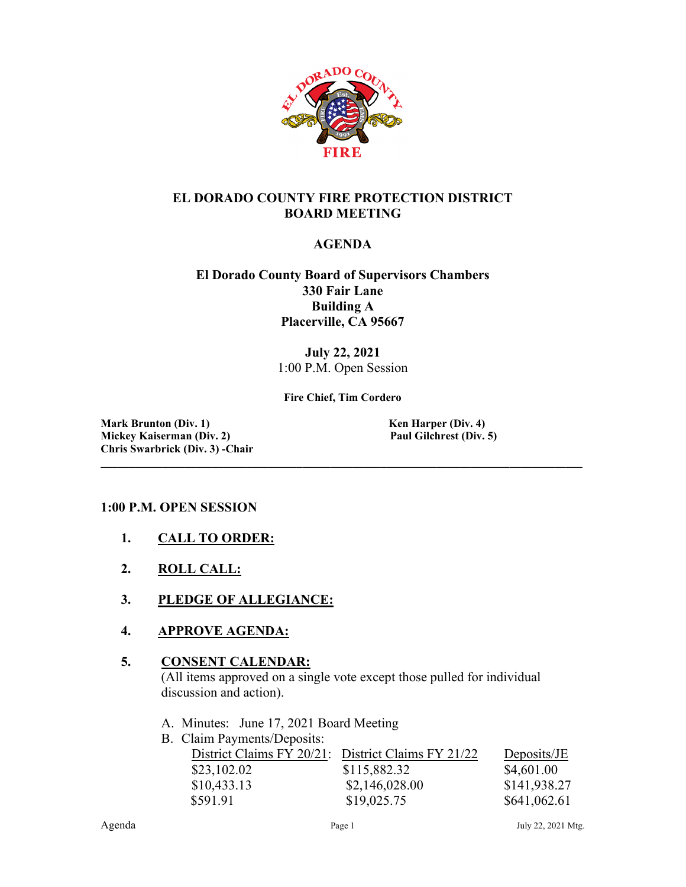

## **EL DORADO COUNTY FIRE PROTECTION DISTRICT BOARD MEETING**

### **AGENDA**

#### **El Dorado County Board of Supervisors Chambers 330 Fair Lane Building A Placerville, CA 95667**

**July 22, 2021** 1:00 P.M. Open Session

**Fire Chief, Tim Cordero**

**\_\_\_\_\_\_\_\_\_\_\_\_\_\_\_\_\_\_\_\_\_\_\_\_\_\_\_\_\_\_\_\_\_\_\_\_\_\_\_\_\_\_\_\_\_\_\_\_\_\_\_\_\_\_\_\_\_\_\_\_\_\_\_\_\_\_\_\_\_\_\_\_\_\_\_\_\_\_\_\_\_\_\_\_\_\_**

**Mark Brunton** (Div. 1) **Ken Harper (Div. 4) Ken Harper (Div. 4) Mickey Kaiserman (Div. 2) Paul Gilchrest (Div. 5) Chris Swarbrick (Div. 3) -Chair**

#### **1:00 P.M. OPEN SESSION**

- **1. CALL TO ORDER:**
- **2. ROLL CALL:**
- **3. PLEDGE OF ALLEGIANCE:**
- **4. APPROVE AGENDA:**

#### **5. CONSENT CALENDAR:**

 (All items approved on a single vote except those pulled for individual discussion and action).

- A. Minutes: June 17, 2021 Board Meeting
- B. Claim Payments/Deposits:

| District Claims FY 20/21: District Claims FY 21/22 |                | Deposits/JE  |
|----------------------------------------------------|----------------|--------------|
| \$23,102.02                                        | \$115,882.32   | \$4,601.00   |
| \$10,433.13                                        | \$2,146,028.00 | \$141,938.27 |
| \$591.91                                           | \$19,025.75    | \$641,062.61 |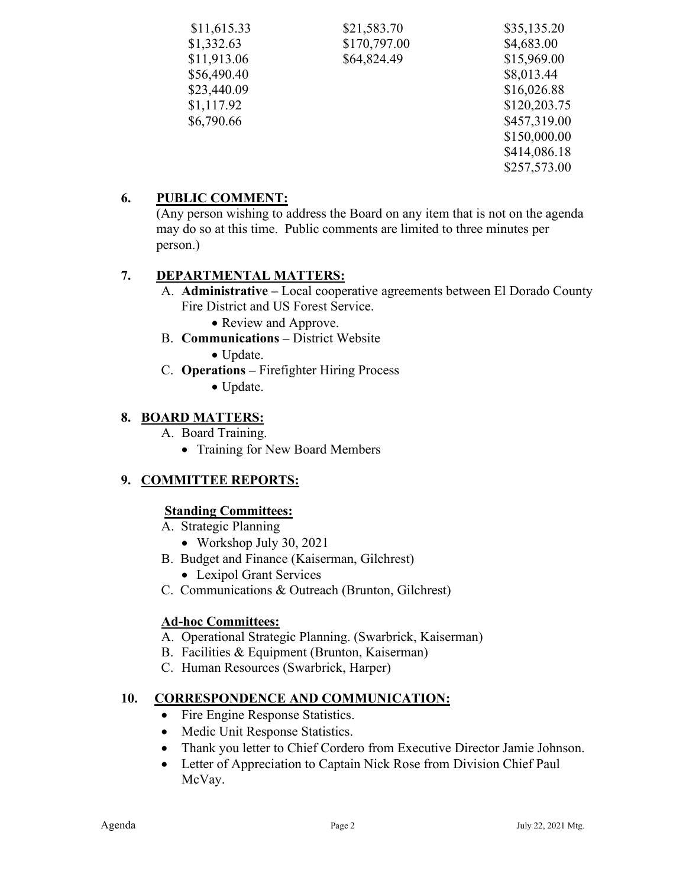| \$11,615.33 | \$21,583.70  | \$35,135.20  |
|-------------|--------------|--------------|
| \$1,332.63  | \$170,797.00 | \$4,683.00   |
| \$11,913.06 | \$64,824.49  | \$15,969.00  |
| \$56,490.40 |              | \$8,013.44   |
| \$23,440.09 |              | \$16,026.88  |
| \$1,117.92  |              | \$120,203.75 |
| \$6,790.66  |              | \$457,319.00 |
|             |              | \$150,000.00 |
|             |              | \$414,086.18 |
|             |              | \$257,573.00 |

# **6. PUBLIC COMMENT:**

(Any person wishing to address the Board on any item that is not on the agenda may do so at this time. Public comments are limited to three minutes per person.)

# **7. DEPARTMENTAL MATTERS:**

- A. **Administrative –** Local cooperative agreements between El Dorado County Fire District and US Forest Service.
	- Review and Approve.
- B. **Communications –** District Website

• Update.

- C. **Operations –** Firefighter Hiring Process
	- Update.

# **8. BOARD MATTERS:**

- A. Board Training.
	- Training for New Board Members

# **9. COMMITTEE REPORTS:**

## **Standing Committees:**

- A. Strategic Planning
	- Workshop July 30, 2021
- B. Budget and Finance (Kaiserman, Gilchrest)
	- Lexipol Grant Services
- C. Communications & Outreach (Brunton, Gilchrest)

## **Ad-hoc Committees:**

- A. Operational Strategic Planning. (Swarbrick, Kaiserman)
- B. Facilities & Equipment (Brunton, Kaiserman)
- C. Human Resources (Swarbrick, Harper)

## **10. CORRESPONDENCE AND COMMUNICATION:**

- Fire Engine Response Statistics.
- Medic Unit Response Statistics.
- Thank you letter to Chief Cordero from Executive Director Jamie Johnson.
- Letter of Appreciation to Captain Nick Rose from Division Chief Paul McVay.